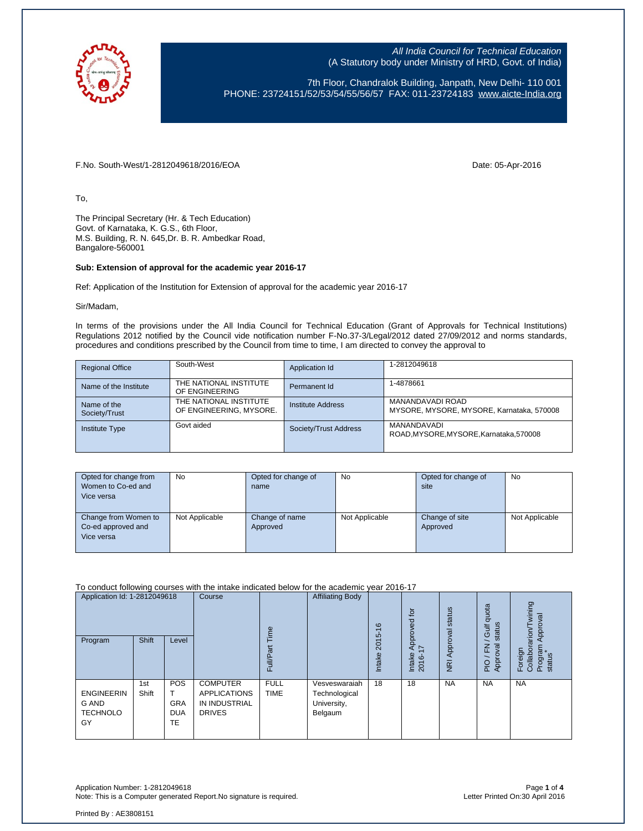

7th Floor, Chandralok Building, Janpath, New Delhi- 110 001 PHONE: 23724151/52/53/54/55/56/57 FAX: 011-23724183 [www.aicte-India.org](http://www.aicte-india.org/)

F.No. South-West/1-2812049618/2016/EOA Date: 05-Apr-2016

To,

The Principal Secretary (Hr. & Tech Education) Govt. of Karnataka, K. G.S., 6th Floor, M.S. Building, R. N. 645,Dr. B. R. Ambedkar Road, Bangalore-560001

## **Sub: Extension of approval for the academic year 2016-17**

Ref: Application of the Institution for Extension of approval for the academic year 2016-17

Sir/Madam,

In terms of the provisions under the All India Council for Technical Education (Grant of Approvals for Technical Institutions) Regulations 2012 notified by the Council vide notification number F-No.37-3/Legal/2012 dated 27/09/2012 and norms standards, procedures and conditions prescribed by the Council from time to time, I am directed to convey the approval to

| <b>Regional Office</b>       | South-West                                        | Application Id        | 1-2812049618                                                  |
|------------------------------|---------------------------------------------------|-----------------------|---------------------------------------------------------------|
| Name of the Institute        | THE NATIONAL INSTITUTE<br>OF ENGINEERING          | Permanent Id          | 1-4878661                                                     |
| Name of the<br>Society/Trust | THE NATIONAL INSTITUTE<br>OF ENGINEERING, MYSORE. | Institute Address     | MANANDAVADI ROAD<br>MYSORE, MYSORE, MYSORE, Karnataka, 570008 |
| <b>Institute Type</b>        | Govt aided                                        | Society/Trust Address | MANANDAVADI<br>ROAD MYSORE MYSORE Karnataka 570008            |

| Opted for change from<br>Women to Co-ed and<br>Vice versa | <b>No</b>      | Opted for change of<br>name | No             | Opted for change of<br>site | <b>No</b>      |
|-----------------------------------------------------------|----------------|-----------------------------|----------------|-----------------------------|----------------|
| Change from Women to<br>Co-ed approved and<br>Vice versa  | Not Applicable | Change of name<br>Approved  | Not Applicable | Change of site<br>Approved  | Not Applicable |

To conduct following courses with the intake indicated below for the academic year 2016-17

| Application Id: 1-2812049618<br>Program             | Shift        | Level                                        | Course                                                                   | Time<br>āť<br>Full/P       | <b>Affiliating Body</b>                                  | $\frac{6}{5}$<br>2015<br>Intake | $\overline{5}$<br>roved<br>Appr<br>$\overline{\phantom{0}}$<br>Intake<br>2016- | NRI Approval status | quota<br>status<br><b>Jir</b><br>준<br>ख़<br>Appro<br>$rac{O}{E}$ | wining<br>Approval<br>arion/T<br>Foreign<br>Collabora<br>Program<br>status |
|-----------------------------------------------------|--------------|----------------------------------------------|--------------------------------------------------------------------------|----------------------------|----------------------------------------------------------|---------------------------------|--------------------------------------------------------------------------------|---------------------|------------------------------------------------------------------|----------------------------------------------------------------------------|
| <b>ENGINEERIN</b><br>G AND<br><b>TECHNOLO</b><br>GY | 1st<br>Shift | <b>POS</b><br><b>GRA</b><br><b>DUA</b><br>TE | <b>COMPUTER</b><br><b>APPLICATIONS</b><br>IN INDUSTRIAL<br><b>DRIVES</b> | <b>FULL</b><br><b>TIME</b> | Vesveswaraiah<br>Technological<br>University,<br>Belgaum | 18                              | 18                                                                             | <b>NA</b>           | <b>NA</b>                                                        | <b>NA</b>                                                                  |

Application Number: 1-2812049618 Page **1** of **4** Note: This is a Computer generated Report. No signature is required.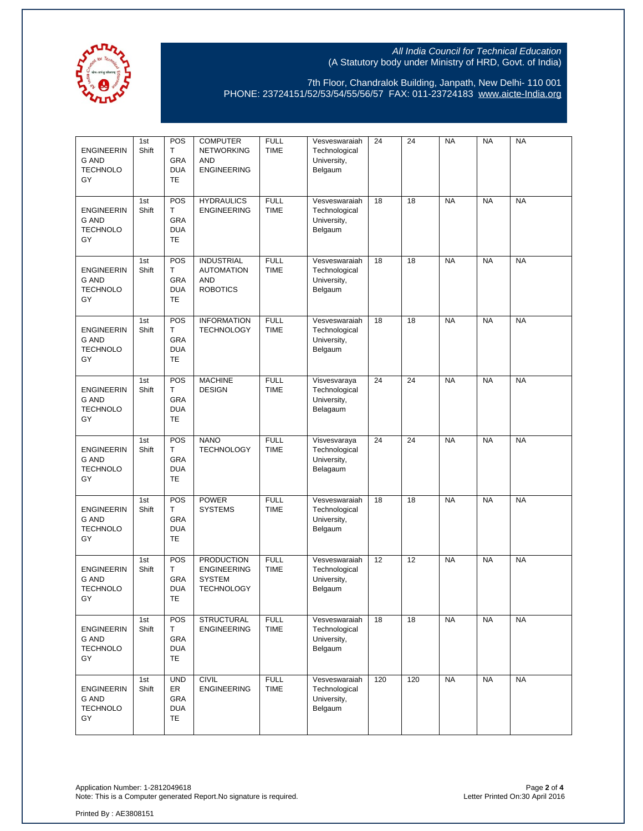

7th Floor, Chandralok Building, Janpath, New Delhi- 110 001 PHONE: 23724151/52/53/54/55/56/57 FAX: 011-23724183 [www.aicte-India.org](http://www.aicte-india.org/)

| <b>ENGINEERIN</b><br><b>G AND</b><br><b>TECHNOLO</b><br>GY | 1st<br>Shift | POS<br>T.<br>GRA<br><b>DUA</b><br><b>TE</b>        | <b>COMPUTER</b><br><b>NETWORKING</b><br><b>AND</b><br><b>ENGINEERING</b>      | <b>FULL</b><br><b>TIME</b> | Vesveswaraiah<br>Technological<br>University,<br>Belgaum | 24  | 24  | <b>NA</b> | <b>NA</b> | <b>NA</b> |
|------------------------------------------------------------|--------------|----------------------------------------------------|-------------------------------------------------------------------------------|----------------------------|----------------------------------------------------------|-----|-----|-----------|-----------|-----------|
| <b>ENGINEERIN</b><br><b>G AND</b><br><b>TECHNOLO</b><br>GY | 1st<br>Shift | <b>POS</b><br>Τ<br>GRA<br><b>DUA</b><br><b>TE</b>  | <b>HYDRAULICS</b><br><b>ENGINEERING</b>                                       | <b>FULL</b><br><b>TIME</b> | Vesveswaraiah<br>Technological<br>University,<br>Belgaum | 18  | 18  | <b>NA</b> | <b>NA</b> | <b>NA</b> |
| <b>ENGINEERIN</b><br><b>G AND</b><br><b>TECHNOLO</b><br>GY | 1st<br>Shift | POS<br>T.<br>GRA<br><b>DUA</b><br><b>TE</b>        | <b>INDUSTRIAL</b><br><b>AUTOMATION</b><br><b>AND</b><br><b>ROBOTICS</b>       | <b>FULL</b><br><b>TIME</b> | Vesveswaraiah<br>Technological<br>University,<br>Belgaum | 18  | 18  | <b>NA</b> | <b>NA</b> | <b>NA</b> |
| <b>ENGINEERIN</b><br><b>G AND</b><br><b>TECHNOLO</b><br>GY | 1st<br>Shift | <b>POS</b><br>T.<br><b>GRA</b><br><b>DUA</b><br>TE | <b>INFORMATION</b><br><b>TECHNOLOGY</b>                                       | <b>FULL</b><br><b>TIME</b> | Vesveswaraiah<br>Technological<br>University,<br>Belgaum | 18  | 18  | <b>NA</b> | <b>NA</b> | <b>NA</b> |
| <b>ENGINEERIN</b><br><b>G AND</b><br><b>TECHNOLO</b><br>GY | 1st<br>Shift | POS<br>T.<br><b>GRA</b><br><b>DUA</b><br>TE        | <b>MACHINE</b><br><b>DESIGN</b>                                               | <b>FULL</b><br><b>TIME</b> | Visvesvaraya<br>Technological<br>University,<br>Belagaum | 24  | 24  | <b>NA</b> | <b>NA</b> | <b>NA</b> |
| <b>ENGINEERIN</b><br><b>G AND</b><br><b>TECHNOLO</b><br>GY | 1st<br>Shift | POS<br>Τ<br><b>GRA</b><br><b>DUA</b><br><b>TE</b>  | <b>NANO</b><br><b>TECHNOLOGY</b>                                              | <b>FULL</b><br><b>TIME</b> | Visvesvaraya<br>Technological<br>University,<br>Belagaum | 24  | 24  | <b>NA</b> | <b>NA</b> | <b>NA</b> |
| <b>ENGINEERIN</b><br><b>G AND</b><br><b>TECHNOLO</b><br>GY | 1st<br>Shift | POS<br>Τ<br>GRA<br><b>DUA</b><br><b>TE</b>         | <b>POWER</b><br><b>SYSTEMS</b>                                                | <b>FULL</b><br><b>TIME</b> | Vesveswaraiah<br>Technological<br>University,<br>Belgaum | 18  | 18  | <b>NA</b> | <b>NA</b> | <b>NA</b> |
| <b>ENGINEERIN</b><br><b>G AND</b><br><b>TECHNOLO</b><br>GY | 1st<br>Shift | <b>POS</b><br>T.<br><b>GRA</b><br><b>DUA</b><br>TE | <b>PRODUCTION</b><br><b>ENGINEERING</b><br><b>SYSTEM</b><br><b>TECHNOLOGY</b> | <b>FULL</b><br><b>TIME</b> | Vesveswaraiah<br>Technological<br>University,<br>Belgaum | 12  | 12  | <b>NA</b> | <b>NA</b> | <b>NA</b> |
| <b>ENGINEERIN</b><br><b>G AND</b><br><b>TECHNOLO</b><br>GY | 1st<br>Shift | POS<br>Τ<br>GRA<br><b>DUA</b><br>TE                | <b>STRUCTURAL</b><br><b>ENGINEERING</b>                                       | <b>FULL</b><br><b>TIME</b> | Vesveswaraiah<br>Technological<br>University,<br>Belgaum | 18  | 18  | <b>NA</b> | <b>NA</b> | <b>NA</b> |
| <b>ENGINEERIN</b><br><b>G AND</b><br><b>TECHNOLO</b><br>GY | 1st<br>Shift | <b>UND</b><br>ER<br>GRA<br><b>DUA</b><br>TE        | <b>CIVIL</b><br><b>ENGINEERING</b>                                            | <b>FULL</b><br><b>TIME</b> | Vesveswaraiah<br>Technological<br>University,<br>Belgaum | 120 | 120 | <b>NA</b> | <b>NA</b> | <b>NA</b> |

Application Number: 1-2812049618 Page **2** of **4** Note: This is a Computer generated Report.No signature is required. Letter Printed On:30 April 2016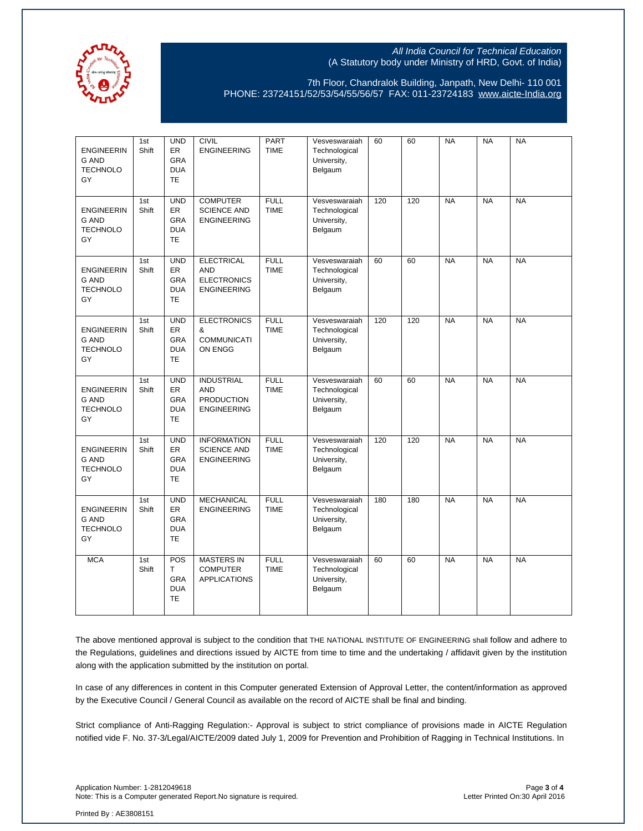

7th Floor, Chandralok Building, Janpath, New Delhi- 110 001 PHONE: 23724151/52/53/54/55/56/57 FAX: 011-23724183 [www.aicte-India.org](http://www.aicte-india.org/)

| <b>ENGINEERIN</b><br><b>G AND</b><br><b>TECHNOLO</b><br>GY | 1st<br>Shift | <b>UND</b><br>ER<br>GRA<br><b>DUA</b><br><b>TE</b>               | <b>CIVIL</b><br><b>ENGINEERING</b>                                          | <b>PART</b><br><b>TIME</b> | Vesveswaraiah<br>Technological<br>University,<br>Belgaum | 60  | 60  | <b>NA</b> | <b>NA</b> | <b>NA</b> |
|------------------------------------------------------------|--------------|------------------------------------------------------------------|-----------------------------------------------------------------------------|----------------------------|----------------------------------------------------------|-----|-----|-----------|-----------|-----------|
| <b>ENGINEERIN</b><br><b>G AND</b><br><b>TECHNOLO</b><br>GY | 1st<br>Shift | <b>UND</b><br><b>ER</b><br><b>GRA</b><br><b>DUA</b><br><b>TE</b> | <b>COMPUTER</b><br><b>SCIENCE AND</b><br><b>ENGINEERING</b>                 | <b>FULL</b><br><b>TIME</b> | Vesveswaraiah<br>Technological<br>University,<br>Belgaum | 120 | 120 | <b>NA</b> | <b>NA</b> | <b>NA</b> |
| <b>ENGINEERIN</b><br>G AND<br><b>TECHNOLO</b><br>GY        | 1st<br>Shift | <b>UND</b><br><b>ER</b><br>GRA<br><b>DUA</b><br><b>TE</b>        | <b>ELECTRICAL</b><br><b>AND</b><br><b>ELECTRONICS</b><br><b>ENGINEERING</b> | <b>FULL</b><br><b>TIME</b> | Vesveswaraiah<br>Technological<br>University,<br>Belgaum | 60  | 60  | <b>NA</b> | <b>NA</b> | <b>NA</b> |
| <b>ENGINEERIN</b><br><b>G AND</b><br><b>TECHNOLO</b><br>GY | 1st<br>Shift | <b>UND</b><br><b>ER</b><br>GRA<br><b>DUA</b><br><b>TE</b>        | <b>ELECTRONICS</b><br>&<br><b>COMMUNICATI</b><br>ON ENGG                    | <b>FULL</b><br><b>TIME</b> | Vesveswaraiah<br>Technological<br>University,<br>Belgaum | 120 | 120 | <b>NA</b> | <b>NA</b> | <b>NA</b> |
| <b>ENGINEERIN</b><br><b>G AND</b><br><b>TECHNOLO</b><br>GY | 1st<br>Shift | <b>UND</b><br>ER<br><b>GRA</b><br><b>DUA</b><br><b>TE</b>        | <b>INDUSTRIAL</b><br><b>AND</b><br><b>PRODUCTION</b><br><b>ENGINEERING</b>  | <b>FULL</b><br><b>TIME</b> | Vesveswaraiah<br>Technological<br>University,<br>Belgaum | 60  | 60  | <b>NA</b> | <b>NA</b> | <b>NA</b> |
| <b>ENGINEERIN</b><br>G AND<br><b>TECHNOLO</b><br>GY        | 1st<br>Shift | <b>UND</b><br>ER<br><b>GRA</b><br><b>DUA</b><br><b>TE</b>        | <b>INFORMATION</b><br><b>SCIENCE AND</b><br><b>ENGINEERING</b>              | <b>FULL</b><br><b>TIME</b> | Vesveswaraiah<br>Technological<br>University,<br>Belgaum | 120 | 120 | <b>NA</b> | <b>NA</b> | <b>NA</b> |
| <b>ENGINEERIN</b><br>G AND<br><b>TECHNOLO</b><br>GY        | 1st<br>Shift | <b>UND</b><br><b>ER</b><br><b>GRA</b><br><b>DUA</b><br><b>TE</b> | <b>MECHANICAL</b><br><b>ENGINEERING</b>                                     | <b>FULL</b><br><b>TIME</b> | Vesveswaraiah<br>Technological<br>University,<br>Belgaum | 180 | 180 | <b>NA</b> | <b>NA</b> | <b>NA</b> |
| <b>MCA</b>                                                 | 1st<br>Shift | POS<br>T.<br><b>GRA</b><br><b>DUA</b><br><b>TE</b>               | <b>MASTERS IN</b><br><b>COMPUTER</b><br><b>APPLICATIONS</b>                 | <b>FULL</b><br><b>TIME</b> | Vesveswaraiah<br>Technological<br>University,<br>Belgaum | 60  | 60  | <b>NA</b> | <b>NA</b> | <b>NA</b> |

The above mentioned approval is subject to the condition that THE NATIONAL INSTITUTE OF ENGINEERING shall follow and adhere to the Regulations, guidelines and directions issued by AICTE from time to time and the undertaking / affidavit given by the institution along with the application submitted by the institution on portal.

In case of any differences in content in this Computer generated Extension of Approval Letter, the content/information as approved by the Executive Council / General Council as available on the record of AICTE shall be final and binding.

Strict compliance of Anti-Ragging Regulation:- Approval is subject to strict compliance of provisions made in AICTE Regulation notified vide F. No. 37-3/Legal/AICTE/2009 dated July 1, 2009 for Prevention and Prohibition of Ragging in Technical Institutions. In